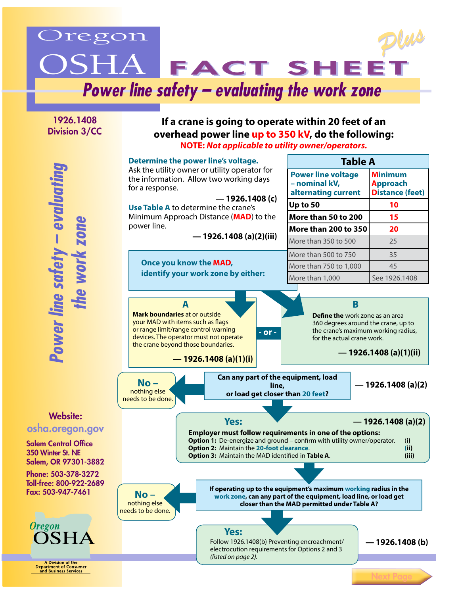

1926.1408 Division 3/CC

for a response.

power line.

A

## **If a crane is going to operate within 20 feet of an overhead power line up to 350 kV, do the following: NOTE:** *Not applicable to utility owner/operators.*

**Determine the power line's voltage. Table A** Ask the utility owner or utility operator for **Power line voltage Minimum**  the information. Allow two working days **– nominal kV, Approach alternating current Distance (feet) — 1926.1408 (c)** Up to 50 **10 Use Table A** to determine the crane's **More than 50 to 200 | 15** Minimum Approach Distance (**MAD**) to the **More than 200 to 350 20 — 1926.1408 (a)(2)(iii)** More than 350 to 500 25 More than 500 to 750  $\sqrt{35}$ **Once you know the MAD,**  More than 750 to 1,000 45 **identify your work zone by either:** More than 1,000 See 1926.1408 **B Mark boundaries** at or outside **Define the** work zone as an area your MAD with items such as flags 360 degrees around the crane, up to or range limit/range control warning the crane's maximum working radius,  $-$  or  $$ devices. The operator must not operate for the actual crane work. the crane beyond those boundaries. **— 1926.1408 (a)(1)(ii) — 1926.1408 (a)(1)(i)**